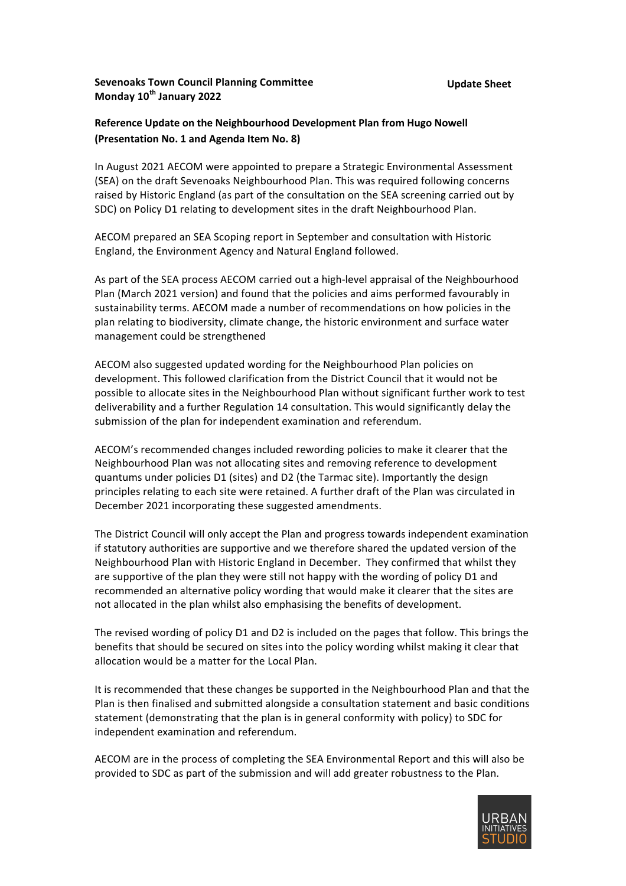## **Sevenoaks Town Council Planning Committee Monday** 10<sup>th</sup> January 2022

# **Reference Update on the Neighbourhood Development Plan from Hugo Nowell (Presentation No. 1 and Agenda Item No. 8)**

In August 2021 AECOM were appointed to prepare a Strategic Environmental Assessment (SEA) on the draft Sevenoaks Neighbourhood Plan. This was required following concerns raised by Historic England (as part of the consultation on the SEA screening carried out by SDC) on Policy D1 relating to development sites in the draft Neighbourhood Plan.

AECOM prepared an SEA Scoping report in September and consultation with Historic England, the Environment Agency and Natural England followed. 

As part of the SEA process AECOM carried out a high-level appraisal of the Neighbourhood Plan (March 2021 version) and found that the policies and aims performed favourably in sustainability terms. AECOM made a number of recommendations on how policies in the plan relating to biodiversity, climate change, the historic environment and surface water management could be strengthened

AECOM also suggested updated wording for the Neighbourhood Plan policies on development. This followed clarification from the District Council that it would not be possible to allocate sites in the Neighbourhood Plan without significant further work to test deliverability and a further Regulation 14 consultation. This would significantly delay the submission of the plan for independent examination and referendum.

AECOM's recommended changes included rewording policies to make it clearer that the Neighbourhood Plan was not allocating sites and removing reference to development quantums under policies D1 (sites) and D2 (the Tarmac site). Importantly the design principles relating to each site were retained. A further draft of the Plan was circulated in December 2021 incorporating these suggested amendments.

The District Council will only accept the Plan and progress towards independent examination if statutory authorities are supportive and we therefore shared the updated version of the Neighbourhood Plan with Historic England in December. They confirmed that whilst they are supportive of the plan they were still not happy with the wording of policy  $D1$  and recommended an alternative policy wording that would make it clearer that the sites are not allocated in the plan whilst also emphasising the benefits of development.

The revised wording of policy D1 and D2 is included on the pages that follow. This brings the benefits that should be secured on sites into the policy wording whilst making it clear that allocation would be a matter for the Local Plan.

It is recommended that these changes be supported in the Neighbourhood Plan and that the Plan is then finalised and submitted alongside a consultation statement and basic conditions statement (demonstrating that the plan is in general conformity with policy) to SDC for independent examination and referendum.

AECOM are in the process of completing the SEA Environmental Report and this will also be provided to SDC as part of the submission and will add greater robustness to the Plan.

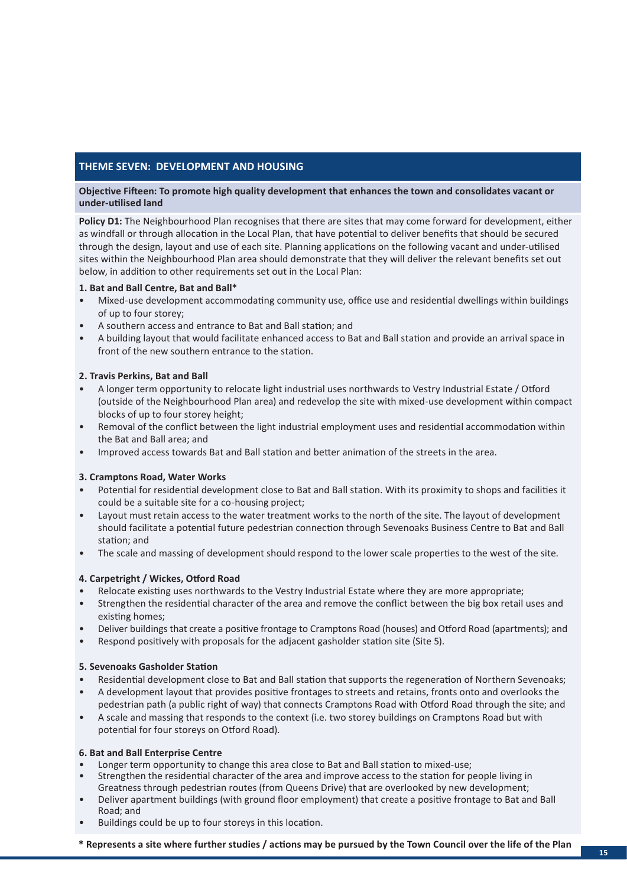## **THEME SEVEN: DEVELOPMENT AND HOUSING**

### **Objective Fifteen: To promote high quality development that enhances the town and consolidates vacant or under-utilised land**

**Policy D1:** The Neighbourhood Plan recognises that there are sites that may come forward for development, either as windfall or through allocation in the Local Plan, that have potential to deliver benefits that should be secured through the design, layout and use of each site. Planning applications on the following vacant and under-utilised sites within the Neighbourhood Plan area should demonstrate that they will deliver the relevant benefits set out below, in addition to other requirements set out in the Local Plan:

### **1. Bat and Ball Centre, Bat and Ball\***

- Mixed-use development accommodating community use, office use and residential dwellings within buildings of up to four storey;
- A southern access and entrance to Bat and Ball station; and
- A building layout that would facilitate enhanced access to Bat and Ball station and provide an arrival space in front of the new southern entrance to the station.

### **2. Travis Perkins, Bat and Ball**

- A longer term opportunity to relocate light industrial uses northwards to Vestry Industrial Estate / Otford (outside of the Neighbourhood Plan area) and redevelop the site with mixed-use development within compact blocks of up to four storey height;
- Removal of the conflict between the light industrial employment uses and residential accommodation within the Bat and Ball area; and
- Improved access towards Bat and Ball station and better animation of the streets in the area.

### **3. Cramptons Road, Water Works**

- Potential for residential development close to Bat and Ball station. With its proximity to shops and facilities it could be a suitable site for a co-housing project;
- Layout must retain access to the water treatment works to the north of the site. The layout of development should facilitate a potential future pedestrian connection through Sevenoaks Business Centre to Bat and Ball station; and
- The scale and massing of development should respond to the lower scale properties to the west of the site.

### **4. Carpetright / Wickes, Otford Road**

- Relocate existing uses northwards to the Vestry Industrial Estate where they are more appropriate;
- Strengthen the residential character of the area and remove the conflict between the big box retail uses and existing homes;
- Deliver buildings that create a positive frontage to Cramptons Road (houses) and Otford Road (apartments); and
- Respond positively with proposals for the adjacent gasholder station site (Site 5).

### **5. Sevenoaks Gasholder Station**

- Residential development close to Bat and Ball station that supports the regeneration of Northern Sevenoaks;
- A development layout that provides positive frontages to streets and retains, fronts onto and overlooks the pedestrian path (a public right of way) that connects Cramptons Road with Otford Road through the site; and
- A scale and massing that responds to the context (i.e. two storey buildings on Cramptons Road but with potential for four storeys on Otford Road).

### **6. Bat and Ball Enterprise Centre**

- Longer term opportunity to change this area close to Bat and Ball station to mixed-use;
- Strengthen the residential character of the area and improve access to the station for people living in Greatness through pedestrian routes (from Queens Drive) that are overlooked by new development;
- Deliver apartment buildings (with ground floor employment) that create a positive frontage to Bat and Ball Road; and
- Buildings could be up to four storeys in this location.

**\* Represents a site where further studies / actions may be pursued by the Town Council over the life of the Plan**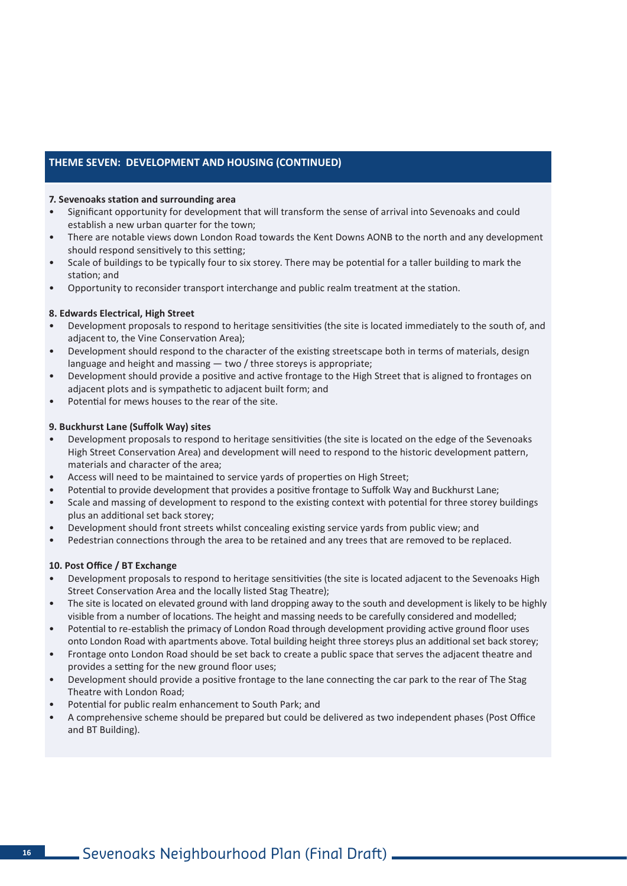## **THEME SEVEN: DEVELOPMENT AND HOUSING (CONTINUED)**

#### **7. Sevenoaks station and surrounding area**

- Significant opportunity for development that will transform the sense of arrival into Sevenoaks and could establish a new urban quarter for the town;
- There are notable views down London Road towards the Kent Downs AONB to the north and any development should respond sensitively to this setting;
- Scale of buildings to be typically four to six storey. There may be potential for a taller building to mark the station; and
- Opportunity to reconsider transport interchange and public realm treatment at the station.

#### **8. Edwards Electrical, High Street**

- Development proposals to respond to heritage sensitivities (the site is located immediately to the south of, and adjacent to, the Vine Conservation Area);
- Development should respond to the character of the existing streetscape both in terms of materials, design language and height and massing — two / three storeys is appropriate;
- Development should provide a positive and active frontage to the High Street that is aligned to frontages on adjacent plots and is sympathetic to adjacent built form; and
- Potential for mews houses to the rear of the site.

#### **9. Buckhurst Lane (Suffolk Way) sites**

- Development proposals to respond to heritage sensitivities (the site is located on the edge of the Sevenoaks High Street Conservation Area) and development will need to respond to the historic development pattern, materials and character of the area;
- Access will need to be maintained to service yards of properties on High Street;
- Potential to provide development that provides a positive frontage to Suffolk Way and Buckhurst Lane;
- Scale and massing of development to respond to the existing context with potential for three storey buildings plus an additional set back storey;
- Development should front streets whilst concealing existing service yards from public view; and
- Pedestrian connections through the area to be retained and any trees that are removed to be replaced.

### **10. Post Office / BT Exchange**

- Development proposals to respond to heritage sensitivities (the site is located adjacent to the Sevenoaks High Street Conservation Area and the locally listed Stag Theatre);
- The site is located on elevated ground with land dropping away to the south and development is likely to be highly visible from a number of locations. The height and massing needs to be carefully considered and modelled;
- Potential to re-establish the primacy of London Road through development providing active ground floor uses onto London Road with apartments above. Total building height three storeys plus an additional set back storey;
- Frontage onto London Road should be set back to create a public space that serves the adjacent theatre and provides a setting for the new ground floor uses;
- Development should provide a positive frontage to the lane connecting the car park to the rear of The Stag Theatre with London Road;
- Potential for public realm enhancement to South Park; and
- A comprehensive scheme should be prepared but could be delivered as two independent phases (Post Office and BT Building).